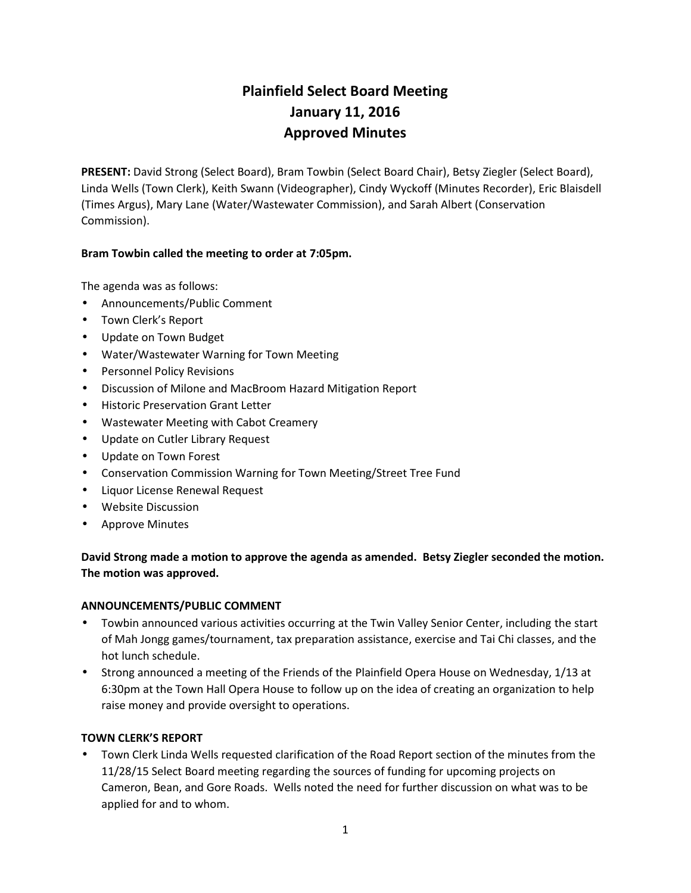# **Plainfield Select Board Meeting January 11, 2016 Approved Minutes**

**PRESENT:** David Strong (Select Board), Bram Towbin (Select Board Chair), Betsy Ziegler (Select Board), Linda Wells (Town Clerk), Keith Swann (Videographer), Cindy Wyckoff (Minutes Recorder), Eric Blaisdell (Times Argus), Mary Lane (Water/Wastewater Commission), and Sarah Albert (Conservation Commission).

## **Bram Towbin called the meeting to order at 7:05pm.**

The agenda was as follows:

- Announcements/Public Comment
- Town Clerk's Report
- Update on Town Budget
- Water/Wastewater Warning for Town Meeting
- **•** Personnel Policy Revisions
- Discussion of Milone and MacBroom Hazard Mitigation Report
- **•** Historic Preservation Grant Letter
- Wastewater Meeting with Cabot Creamery
- Update on Cutler Library Request
- Update on Town Forest
- Conservation Commission Warning for Town Meeting/Street Tree Fund
- Liquor License Renewal Request
- Website Discussion
- Approve Minutes

## **David Strong made a motion to approve the agenda as amended. Betsy Ziegler seconded the motion. The motion was approved.**

#### **ANNOUNCEMENTS/PUBLIC COMMENT**

- Towbin announced various activities occurring at the Twin Valley Senior Center, including the start of Mah Jongg games/tournament, tax preparation assistance, exercise and Tai Chi classes, and the hot lunch schedule.
- Strong announced a meeting of the Friends of the Plainfield Opera House on Wednesday, 1/13 at 6:30pm at the Town Hall Opera House to follow up on the idea of creating an organization to help raise money and provide oversight to operations.

#### **TOWN CLERK'S REPORT**

 Town Clerk Linda Wells requested clarification of the Road Report section of the minutes from the 11/28/15 Select Board meeting regarding the sources of funding for upcoming projects on Cameron, Bean, and Gore Roads. Wells noted the need for further discussion on what was to be applied for and to whom.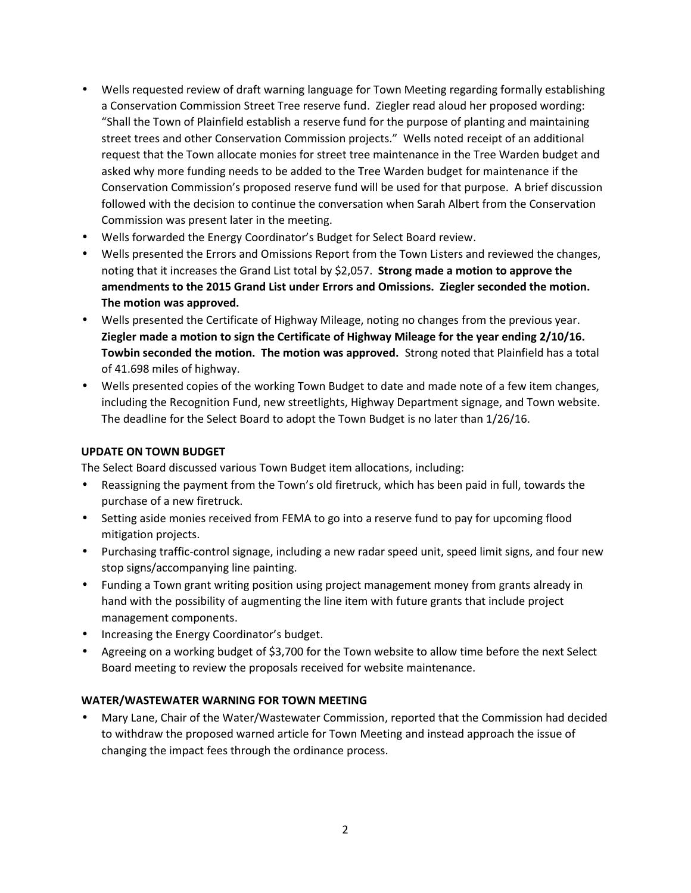- Wells requested review of draft warning language for Town Meeting regarding formally establishing a Conservation Commission Street Tree reserve fund. Ziegler read aloud her proposed wording: "Shall the Town of Plainfield establish a reserve fund for the purpose of planting and maintaining street trees and other Conservation Commission projects." Wells noted receipt of an additional request that the Town allocate monies for street tree maintenance in the Tree Warden budget and asked why more funding needs to be added to the Tree Warden budget for maintenance if the Conservation Commission's proposed reserve fund will be used for that purpose. A brief discussion followed with the decision to continue the conversation when Sarah Albert from the Conservation Commission was present later in the meeting.
- Wells forwarded the Energy Coordinator's Budget for Select Board review.
- Wells presented the Errors and Omissions Report from the Town Listers and reviewed the changes, noting that it increases the Grand List total by \$2,057. **Strong made a motion to approve the amendments to the 2015 Grand List under Errors and Omissions. Ziegler seconded the motion. The motion was approved.**
- Wells presented the Certificate of Highway Mileage, noting no changes from the previous year. **Ziegler made a motion to sign the Certificate of Highway Mileage for the year ending 2/10/16. Towbin seconded the motion. The motion was approved.** Strong noted that Plainfield has a total of 41.698 miles of highway.
- Wells presented copies of the working Town Budget to date and made note of a few item changes, including the Recognition Fund, new streetlights, Highway Department signage, and Town website. The deadline for the Select Board to adopt the Town Budget is no later than 1/26/16.

#### **UPDATE ON TOWN BUDGET**

The Select Board discussed various Town Budget item allocations, including:

- Reassigning the payment from the Town's old firetruck, which has been paid in full, towards the purchase of a new firetruck.
- Setting aside monies received from FEMA to go into a reserve fund to pay for upcoming flood mitigation projects.
- Purchasing traffic-control signage, including a new radar speed unit, speed limit signs, and four new stop signs/accompanying line painting.
- Funding a Town grant writing position using project management money from grants already in hand with the possibility of augmenting the line item with future grants that include project management components.
- Increasing the Energy Coordinator's budget.
- Agreeing on a working budget of \$3,700 for the Town website to allow time before the next Select Board meeting to review the proposals received for website maintenance.

#### **WATER/WASTEWATER WARNING FOR TOWN MEETING**

 Mary Lane, Chair of the Water/Wastewater Commission, reported that the Commission had decided to withdraw the proposed warned article for Town Meeting and instead approach the issue of changing the impact fees through the ordinance process.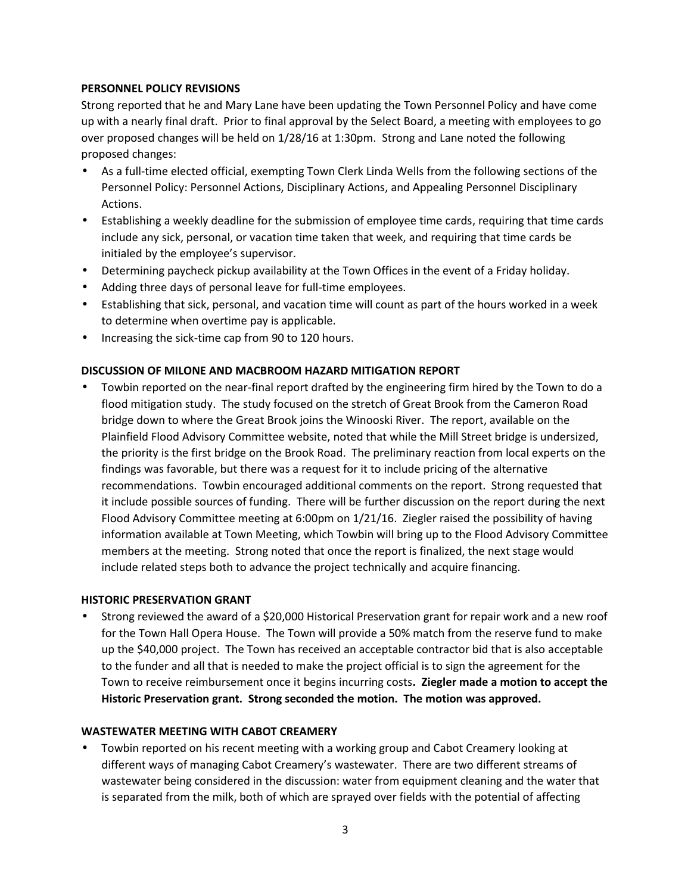#### **PERSONNEL POLICY REVISIONS**

Strong reported that he and Mary Lane have been updating the Town Personnel Policy and have come up with a nearly final draft. Prior to final approval by the Select Board, a meeting with employees to go over proposed changes will be held on 1/28/16 at 1:30pm. Strong and Lane noted the following proposed changes:

- As a full-time elected official, exempting Town Clerk Linda Wells from the following sections of the Personnel Policy: Personnel Actions, Disciplinary Actions, and Appealing Personnel Disciplinary Actions.
- Establishing a weekly deadline for the submission of employee time cards, requiring that time cards include any sick, personal, or vacation time taken that week, and requiring that time cards be initialed by the employee's supervisor.
- Determining paycheck pickup availability at the Town Offices in the event of a Friday holiday.
- Adding three days of personal leave for full-time employees.
- Establishing that sick, personal, and vacation time will count as part of the hours worked in a week to determine when overtime pay is applicable.
- Increasing the sick-time cap from 90 to 120 hours.

#### **DISCUSSION OF MILONE AND MACBROOM HAZARD MITIGATION REPORT**

 Towbin reported on the near-final report drafted by the engineering firm hired by the Town to do a flood mitigation study. The study focused on the stretch of Great Brook from the Cameron Road bridge down to where the Great Brook joins the Winooski River. The report, available on the Plainfield Flood Advisory Committee website, noted that while the Mill Street bridge is undersized, the priority is the first bridge on the Brook Road. The preliminary reaction from local experts on the findings was favorable, but there was a request for it to include pricing of the alternative recommendations. Towbin encouraged additional comments on the report. Strong requested that it include possible sources of funding. There will be further discussion on the report during the next Flood Advisory Committee meeting at 6:00pm on 1/21/16. Ziegler raised the possibility of having information available at Town Meeting, which Towbin will bring up to the Flood Advisory Committee members at the meeting. Strong noted that once the report is finalized, the next stage would include related steps both to advance the project technically and acquire financing.

#### **HISTORIC PRESERVATION GRANT**

 Strong reviewed the award of a \$20,000 Historical Preservation grant for repair work and a new roof for the Town Hall Opera House. The Town will provide a 50% match from the reserve fund to make up the \$40,000 project. The Town has received an acceptable contractor bid that is also acceptable to the funder and all that is needed to make the project official is to sign the agreement for the Town to receive reimbursement once it begins incurring costs**. Ziegler made a motion to accept the Historic Preservation grant. Strong seconded the motion. The motion was approved.**

#### **WASTEWATER MEETING WITH CABOT CREAMERY**

 Towbin reported on his recent meeting with a working group and Cabot Creamery looking at different ways of managing Cabot Creamery's wastewater. There are two different streams of wastewater being considered in the discussion: water from equipment cleaning and the water that is separated from the milk, both of which are sprayed over fields with the potential of affecting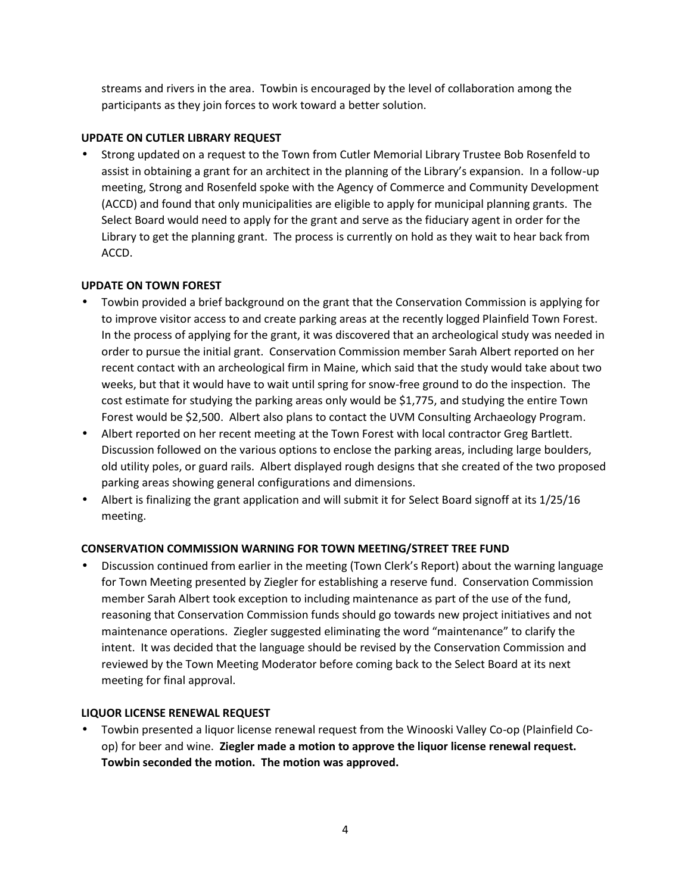streams and rivers in the area. Towbin is encouraged by the level of collaboration among the participants as they join forces to work toward a better solution.

## **UPDATE ON CUTLER LIBRARY REQUEST**

 Strong updated on a request to the Town from Cutler Memorial Library Trustee Bob Rosenfeld to assist in obtaining a grant for an architect in the planning of the Library's expansion. In a follow-up meeting, Strong and Rosenfeld spoke with the Agency of Commerce and Community Development (ACCD) and found that only municipalities are eligible to apply for municipal planning grants. The Select Board would need to apply for the grant and serve as the fiduciary agent in order for the Library to get the planning grant. The process is currently on hold as they wait to hear back from ACCD.

### **UPDATE ON TOWN FOREST**

- Towbin provided a brief background on the grant that the Conservation Commission is applying for to improve visitor access to and create parking areas at the recently logged Plainfield Town Forest. In the process of applying for the grant, it was discovered that an archeological study was needed in order to pursue the initial grant. Conservation Commission member Sarah Albert reported on her recent contact with an archeological firm in Maine, which said that the study would take about two weeks, but that it would have to wait until spring for snow-free ground to do the inspection. The cost estimate for studying the parking areas only would be \$1,775, and studying the entire Town Forest would be \$2,500. Albert also plans to contact the UVM Consulting Archaeology Program.
- Albert reported on her recent meeting at the Town Forest with local contractor Greg Bartlett. Discussion followed on the various options to enclose the parking areas, including large boulders, old utility poles, or guard rails. Albert displayed rough designs that she created of the two proposed parking areas showing general configurations and dimensions.
- Albert is finalizing the grant application and will submit it for Select Board signoff at its 1/25/16 meeting.

## **CONSERVATION COMMISSION WARNING FOR TOWN MEETING/STREET TREE FUND**

 Discussion continued from earlier in the meeting (Town Clerk's Report) about the warning language for Town Meeting presented by Ziegler for establishing a reserve fund. Conservation Commission member Sarah Albert took exception to including maintenance as part of the use of the fund, reasoning that Conservation Commission funds should go towards new project initiatives and not maintenance operations. Ziegler suggested eliminating the word "maintenance" to clarify the intent. It was decided that the language should be revised by the Conservation Commission and reviewed by the Town Meeting Moderator before coming back to the Select Board at its next meeting for final approval.

#### **LIQUOR LICENSE RENEWAL REQUEST**

 Towbin presented a liquor license renewal request from the Winooski Valley Co-op (Plainfield Co op) for beer and wine. **Ziegler made a motion to approve the liquor license renewal request. Towbin seconded the motion. The motion was approved.**